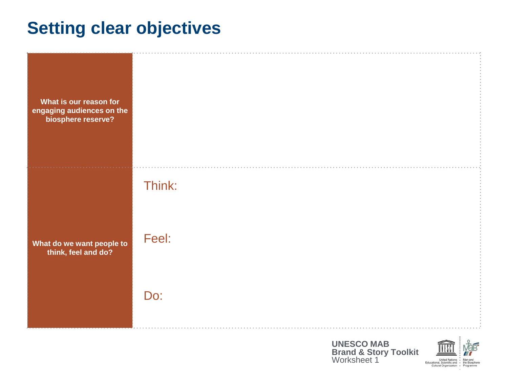## **Setting clear objectives**

| What is our reason for<br>engaging audiences on the<br>biosphere reserve? |        |
|---------------------------------------------------------------------------|--------|
|                                                                           | Think: |
| What do we want people to<br>think, feel and do?                          | Feel:  |
|                                                                           | Do:    |

**UNESCO MAB Brand & Story Toolkit** Worksheet 1



United Nations Man and United Nations + Mari and<br>Educational, Scientific and + the Biosphere<br>Cultural Organization + Programme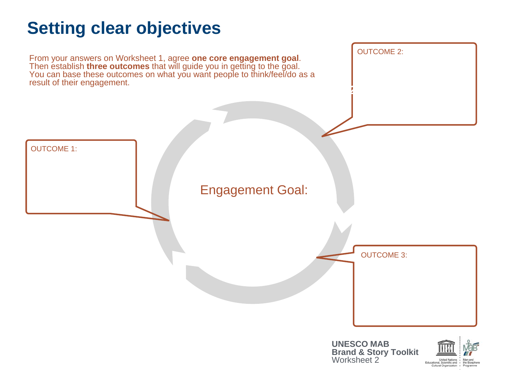# **Setting clear objectives**

From your answers on Worksheet 1, agree **one core engagement goal**. Then establish **three outcomes** that will guide you in getting to the goal. You can base these outcomes on what you want people to think/feel/do as a result of their engagement.



**2. Enable choices**

OUTCOME 2: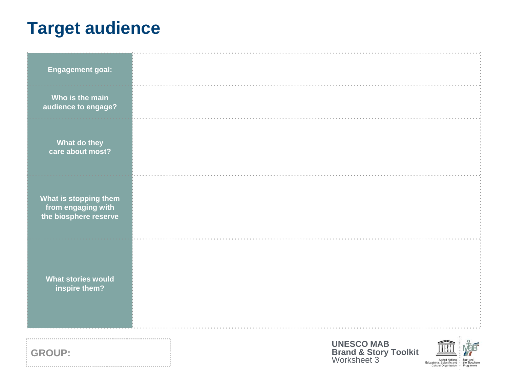# **Target audience**

| <b>Engagement goal:</b>                     |                                                                      |                                                                                                                 |
|---------------------------------------------|----------------------------------------------------------------------|-----------------------------------------------------------------------------------------------------------------|
| Who is the main                             |                                                                      |                                                                                                                 |
| audience to engage?                         |                                                                      |                                                                                                                 |
|                                             |                                                                      |                                                                                                                 |
| What do they<br>care about most?            |                                                                      |                                                                                                                 |
|                                             |                                                                      |                                                                                                                 |
|                                             |                                                                      |                                                                                                                 |
| What is stopping them<br>from engaging with |                                                                      |                                                                                                                 |
| the biosphere reserve                       |                                                                      |                                                                                                                 |
|                                             |                                                                      |                                                                                                                 |
|                                             |                                                                      |                                                                                                                 |
| <b>What stories would</b><br>inspire them?  |                                                                      |                                                                                                                 |
|                                             |                                                                      |                                                                                                                 |
|                                             |                                                                      |                                                                                                                 |
|                                             |                                                                      |                                                                                                                 |
| <b>GROUP:</b>                               | <b>UNESCO MAB</b><br><b>Brand &amp; Story Toolkit</b><br>Worksheet 3 |                                                                                                                 |
|                                             |                                                                      | United Nations .<br>Man and<br>Educational, Scientific and . the Biosphere<br>Cultural Organization - Programme |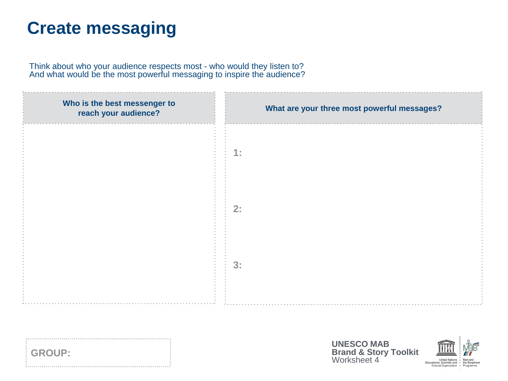## **Create messaging**

<u>:</u>

Think about who your audience respects most - who would they listen to? And what would be the most powerful messaging to inspire the audience?

| Who is the best messenger to<br>reach your audience? | What are your three most powerful messages?                                                                                                                                          |
|------------------------------------------------------|--------------------------------------------------------------------------------------------------------------------------------------------------------------------------------------|
|                                                      | $4 -$                                                                                                                                                                                |
|                                                      | 2:                                                                                                                                                                                   |
|                                                      | 3:                                                                                                                                                                                   |
|                                                      |                                                                                                                                                                                      |
| <b>GROUP:</b>                                        | <b>UNESCO MAB</b><br><b>Brand &amp; Story Toolkit</b><br>Worksheet 4<br>United Nations . Man and<br>Educational, Scientific and . the Biosphere<br>Cultural Organization - Programme |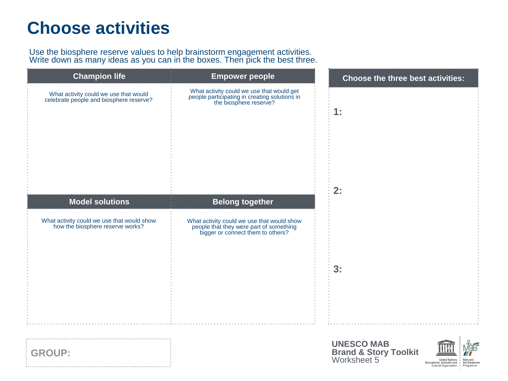#### **Choose activities**

Use the biosphere reserve values to help brainstorm engagement activities. Write down as many ideas as you can in the boxes. Then pick the best three.